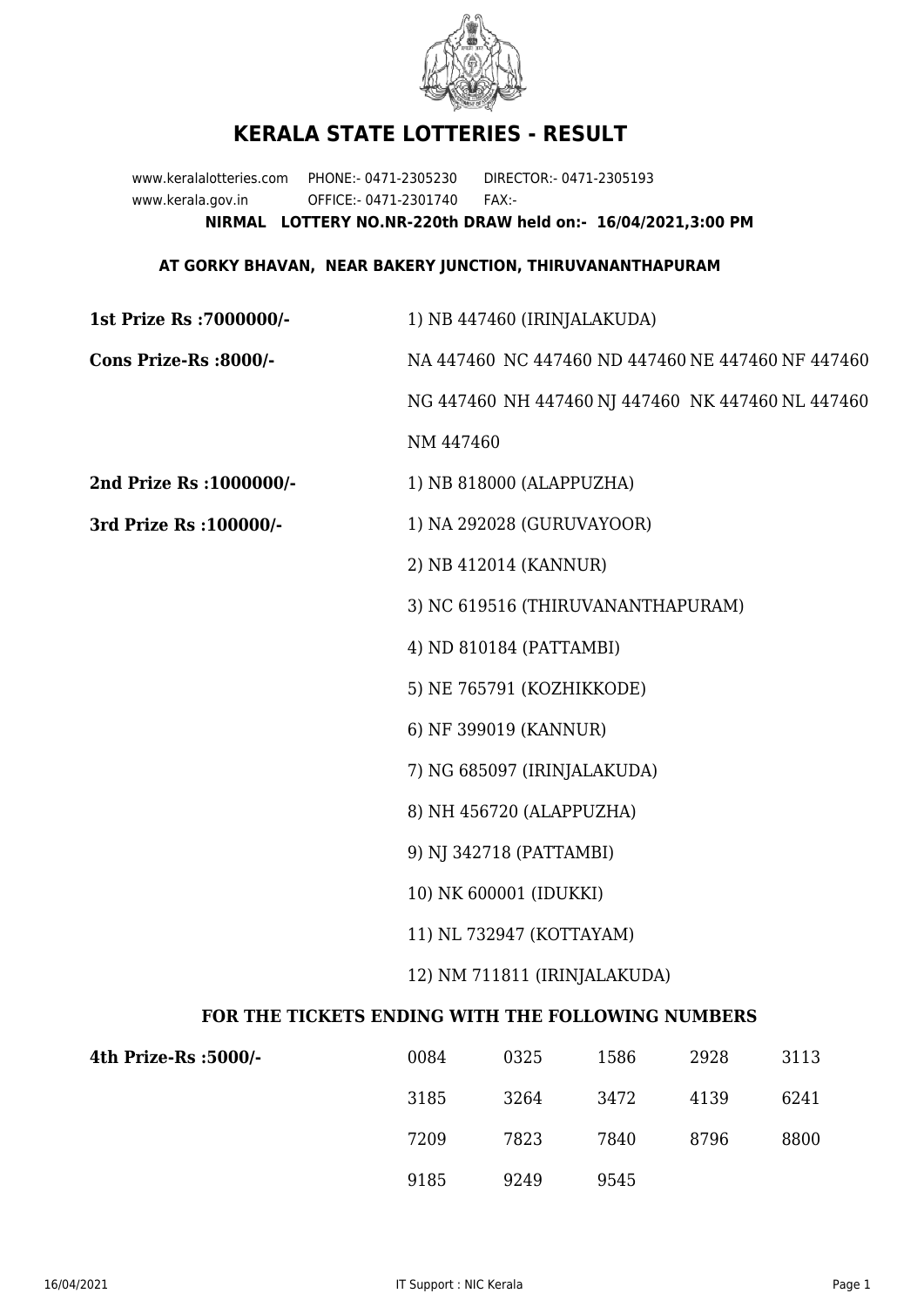

## **KERALA STATE LOTTERIES - RESULT**

www.keralalotteries.com PHONE:- 0471-2305230 DIRECTOR:- 0471-2305193 www.kerala.gov.in OFFICE:- 0471-2301740 FAX:- **NIRMAL LOTTERY NO.NR-220th DRAW held on:- 16/04/2021,3:00 PM**

## **AT GORKY BHAVAN, NEAR BAKERY JUNCTION, THIRUVANANTHAPURAM**

| 1st Prize Rs : 7000000/-                          | 1) NB 447460 (IRINJALAKUDA)                                                        |                          |      |      |                                                   |  |
|---------------------------------------------------|------------------------------------------------------------------------------------|--------------------------|------|------|---------------------------------------------------|--|
| Cons Prize-Rs :8000/-                             | NA 447460 NC 447460 ND 447460 NE 447460 NF 447460                                  |                          |      |      |                                                   |  |
|                                                   |                                                                                    |                          |      |      | NG 447460 NH 447460 NJ 447460 NK 447460 NL 447460 |  |
|                                                   | NM 447460                                                                          |                          |      |      |                                                   |  |
| 2nd Prize Rs : 1000000/-                          |                                                                                    | 1) NB 818000 (ALAPPUZHA) |      |      |                                                   |  |
| 3rd Prize Rs : 100000/-                           | 1) NA 292028 (GURUVAYOOR)                                                          |                          |      |      |                                                   |  |
|                                                   | 2) NB 412014 (KANNUR)                                                              |                          |      |      |                                                   |  |
|                                                   | 3) NC 619516 (THIRUVANANTHAPURAM)                                                  |                          |      |      |                                                   |  |
|                                                   | 4) ND 810184 (PATTAMBI)                                                            |                          |      |      |                                                   |  |
|                                                   | 5) NE 765791 (KOZHIKKODE)                                                          |                          |      |      |                                                   |  |
|                                                   | 6) NF 399019 (KANNUR)                                                              |                          |      |      |                                                   |  |
|                                                   | 7) NG 685097 (IRINJALAKUDA)                                                        |                          |      |      |                                                   |  |
|                                                   | 8) NH 456720 (ALAPPUZHA)                                                           |                          |      |      |                                                   |  |
|                                                   | 9) NJ 342718 (PATTAMBI)                                                            |                          |      |      |                                                   |  |
|                                                   | 10) NK 600001 (IDUKKI)<br>11) NL 732947 (KOTTAYAM)<br>12) NM 711811 (IRINJALAKUDA) |                          |      |      |                                                   |  |
|                                                   |                                                                                    |                          |      |      |                                                   |  |
|                                                   |                                                                                    |                          |      |      |                                                   |  |
| FOR THE TICKETS ENDING WITH THE FOLLOWING NUMBERS |                                                                                    |                          |      |      |                                                   |  |
| 4th Prize-Rs : 5000/-                             | 0084                                                                               | 0325                     | 1586 | 2928 | 3113                                              |  |

| 4th Prize-Rs :5000/- | 0084 | 0325 | 1586 | 2928 | 3113 |
|----------------------|------|------|------|------|------|
|                      | 3185 | 3264 | 3472 | 4139 | 6241 |
|                      | 7209 | 7823 | 7840 | 8796 | 8800 |
|                      | 9185 | 9249 | 9545 |      |      |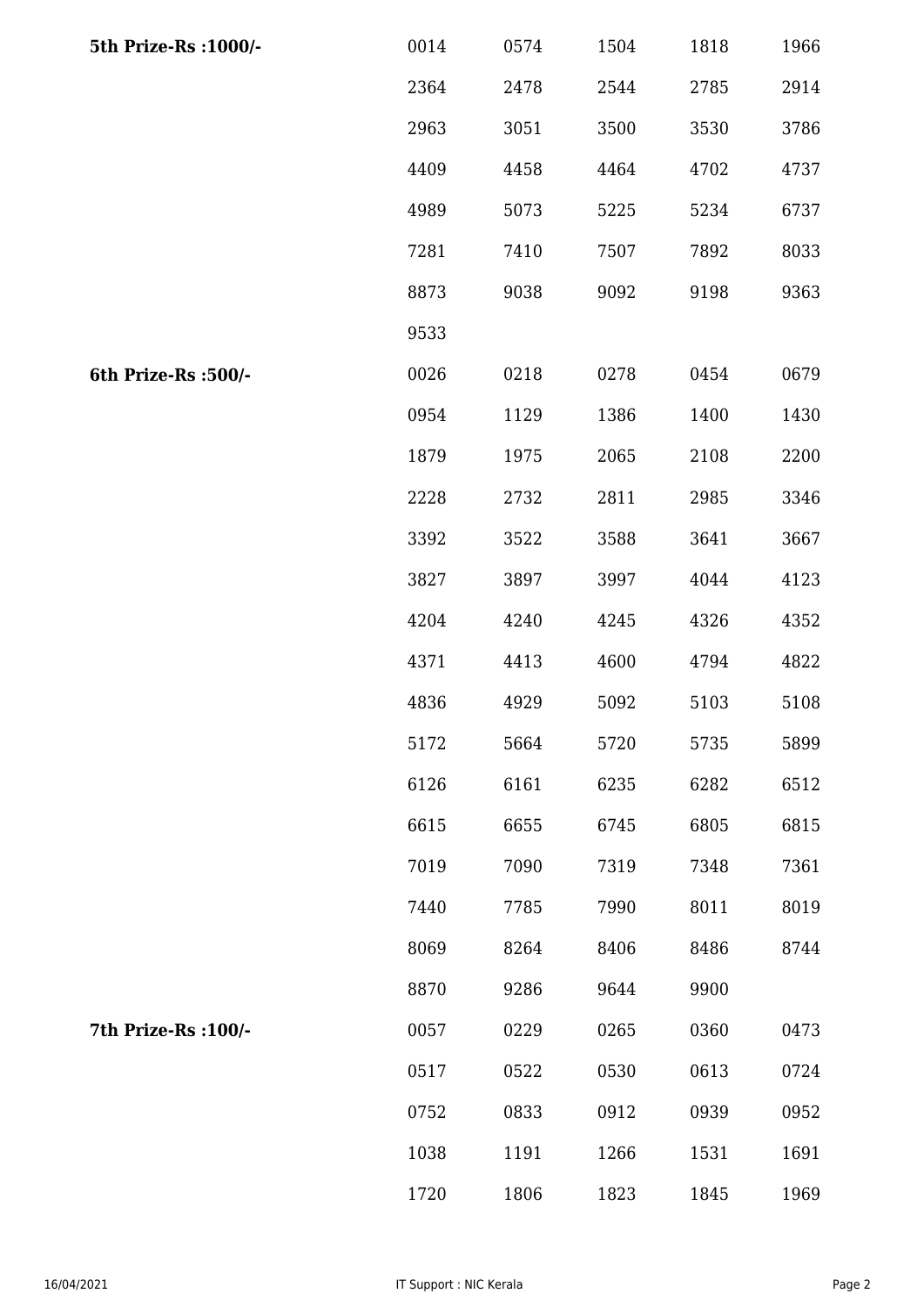| 5th Prize-Rs : 1000/- | 0014 | 0574 | 1504 | 1818 | 1966 |
|-----------------------|------|------|------|------|------|
|                       | 2364 | 2478 | 2544 | 2785 | 2914 |
|                       | 2963 | 3051 | 3500 | 3530 | 3786 |
|                       | 4409 | 4458 | 4464 | 4702 | 4737 |
|                       | 4989 | 5073 | 5225 | 5234 | 6737 |
|                       | 7281 | 7410 | 7507 | 7892 | 8033 |
|                       | 8873 | 9038 | 9092 | 9198 | 9363 |
|                       | 9533 |      |      |      |      |
| 6th Prize-Rs :500/-   | 0026 | 0218 | 0278 | 0454 | 0679 |
|                       | 0954 | 1129 | 1386 | 1400 | 1430 |
|                       | 1879 | 1975 | 2065 | 2108 | 2200 |
|                       | 2228 | 2732 | 2811 | 2985 | 3346 |
|                       | 3392 | 3522 | 3588 | 3641 | 3667 |
|                       | 3827 | 3897 | 3997 | 4044 | 4123 |
|                       | 4204 | 4240 | 4245 | 4326 | 4352 |
|                       | 4371 | 4413 | 4600 | 4794 | 4822 |
|                       | 4836 | 4929 | 5092 | 5103 | 5108 |
|                       | 5172 | 5664 | 5720 | 5735 | 5899 |
|                       | 6126 | 6161 | 6235 | 6282 | 6512 |
|                       | 6615 | 6655 | 6745 | 6805 | 6815 |
|                       | 7019 | 7090 | 7319 | 7348 | 7361 |
|                       | 7440 | 7785 | 7990 | 8011 | 8019 |
|                       | 8069 | 8264 | 8406 | 8486 | 8744 |
|                       | 8870 | 9286 | 9644 | 9900 |      |
| 7th Prize-Rs : 100/-  | 0057 | 0229 | 0265 | 0360 | 0473 |
|                       | 0517 | 0522 | 0530 | 0613 | 0724 |
|                       | 0752 | 0833 | 0912 | 0939 | 0952 |
|                       | 1038 | 1191 | 1266 | 1531 | 1691 |
|                       | 1720 | 1806 | 1823 | 1845 | 1969 |